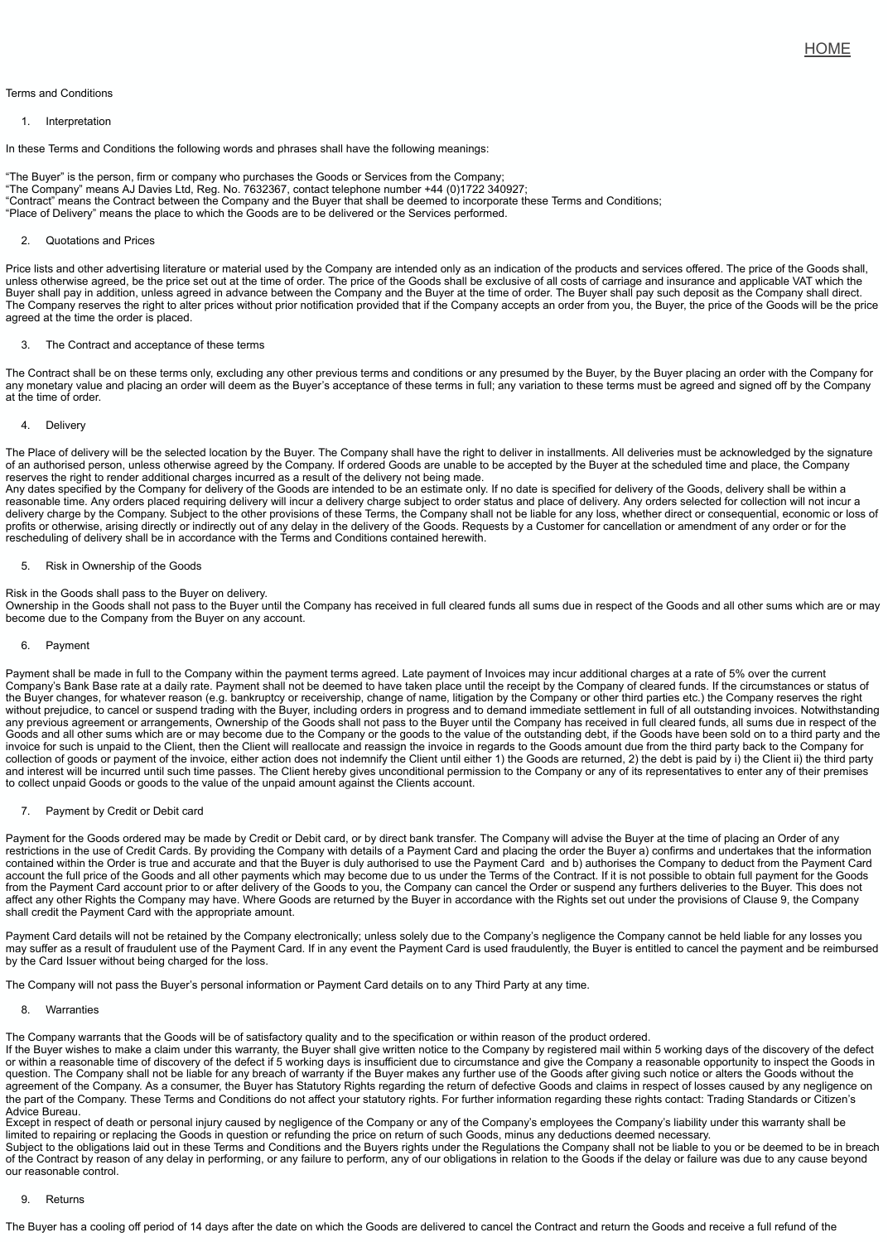The Contract shall be on these terms only, excluding any other previous terms and conditions or any presumed by the Buyer, by the Buye any monetary value and placing an order will deem as the Buyer's acceptance of these terms in full; any variation to these terms must be at the time of order.

## 4. Delivery

The Place of delivery will be the selected location by the Buyer. The Company shall have the right to deliver in installments. All deliveries i of an authorised person, unless otherwise agreed by the Company. If ordered Goods are unable to be accepted by the Buyer at the scheduled time and place, the scheduled time and place, the company of an and place, the Compa reserves the right to render additional charges incurred as a result of the delivery not being made.

Any dates specified by the Company for delivery of the Goods are intended to be an estimate only. If no date is specified for delivery of th reasonable time. Any orders placed requiring delivery will incur a delivery charge subject to order status and place of delivery. Any orders delivery charge by the Company. Subject to the other provisions of these Terms, the Company shall not be liable for any loss, whether direct or profits or otherwise, arising directly or indirectly out of any delay in the delivery of the Goods. Requests by a Customer for cancellation or rescheduling of delivery shall be in accordance with the Terms and Conditions contained herewith.

## 5. Risk in Ownership of the Goods

Risk in the Goods shall pass to the Buyer on delivery.

Ownership in the Goods shall not pass to the Buyer until the Company has received in full cleared funds all sums due in respect of the Go become due to the Company from the Buyer on any account.

## 6. Payment

Payment shall be made in full to the Company within the payment terms agreed. Late payment of Invoices may incur additional charges a Company's Bank Base rate at a daily rate. Payment shall not be deemed to have taken place until the receipt by the Company of cleared the Buyer changes, for whatever reason (e.g. bankruptcy or receivership, change of name, litigation by the Company or other third parties without prejudice, to cancel or suspend trading with the Buyer, including orders in progress and to demand immediate settlement in full of any previous agreement or arrangements, Ownership of the Goods shall not pass to the Buyer until the Company has received in full clea Goods and all other sums which are or may become due to the Company or the goods to the value of the outstanding debt, if the Goods have been sold on the been sold on the party and the been sold on the Condistanding and th invoice for such is unpaid to the Client, then the Client will reallocate and reassign the invoice in regards to the Goods amount due from the collection of goods or payment of the invoice, either action does not indemnify the Client until either 1) the Goods are returned, 2) the deb and interest will be incurred until such time passes. The Client hereby gives unconditional permission to the Company or any of its repres to collect unpaid Goods or goods to the value of the unpaid amount against the Clients account.

7. Payment by Credit or Debit card

Payment for the Goods ordered may be made by Credit or Debit card, or by direct bank transfer. The Company will advise the Buyer at th restrictions in the use of Credit Cards. By providing the Company with details of a Payment Card and placing the order the Buyer a) confir contained within the Order is true and accurate and that the Buyer is duly authorised to use the Payment Card and b) authorises the Con account the full price of the Goods and all other payments which may become due to us under the Terms of the Contract. If it is not possit from the Payment Card account prior to or after delivery of the Goods to you, the Company can cancel the Order or suspend any furthers affect any other Rights the Company may have. Where Goods are returned by the Buyer in accordance with the Rights set out under the shall credit the Payment Card with the appropriate amount.

Payment Card details will not be retained by the Company electronically; unless solely due to the Company's negligence the Company ca may suffer as a result of fraudulent use of the Payment Card. If in any event the Payment Card is used fraudulently, the Buyer is entitled to by the Card Issuer without being charged for the loss.

The Company will not pass the Buyer's personal information or Payment Card details on to any Third Party at any time.

8. Warranties

The Company warrants that the Goods will be of satisfactory quality and to the specification or within reason of the product ordered. If the Buyer wishes to make a claim under this warranty, the Buyer shall give written notice to the Company by registered mail within 5 wo or within a reasonable time of discovery of the defect if 5 working days is insufficient due to circumstance and give the Company a reason question. The Company shall not be liable for any breach of warranty if the Buyer makes any further use of the Goods after giving such no agreement of the Company. As a consumer, the Buyer has Statutory Rights regarding the return of defective Goods and claims in respect the part of the Company. These Terms and Conditions do not affect your statutory rights. For further information regarding these rights contact: Trading Standards or Citizen's or Citizen's or Citizen's or Citizen's or Citi Advice Bureau.

Except in respect of death or personal injury caused by negligence of the Company or any of the Company's employees the Company's li limited to repairing or replacing the Goods in question or refunding the price on return of such Goods, minus any deductions deemed nece Subject to the obligations laid out in these Terms and Conditions and the Buyers rights under the Regulations the Company shall not be li of the Contract by reason of any delay in performing, or any failure to perform, any of our obligations in relation to the Goods if the delay or our reasonable control.

## 9. Returns

The Buyer has a cooling off period of 14 days after the date on which the Goods are delivered to cancel the Contract and return the Good